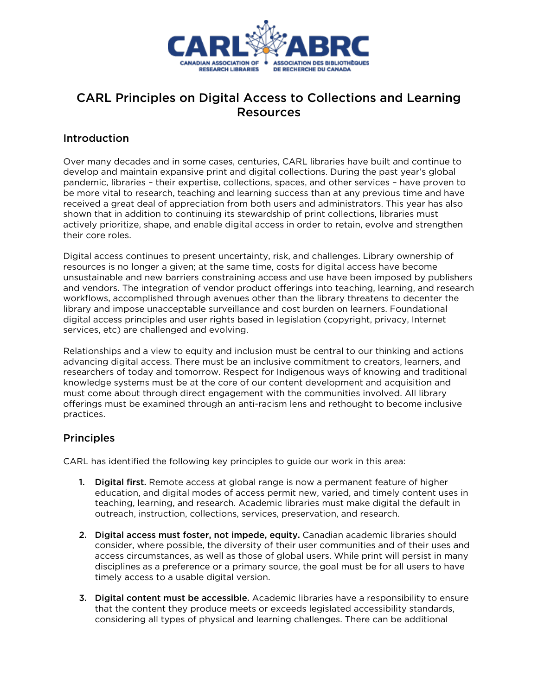

## CARL Principles on Digital Access to Collections and Learning Resources

## Introduction

Over many decades and in some cases, centuries, CARL libraries have built and continue to develop and maintain expansive print and digital collections. During the past year's global pandemic, libraries – their expertise, collections, spaces, and other services – have proven to be more vital to research, teaching and learning success than at any previous time and have received a great deal of appreciation from both users and administrators. This year has also shown that in addition to continuing its stewardship of print collections, libraries must actively prioritize, shape, and enable digital access in order to retain, evolve and strengthen their core roles.

Digital access continues to present uncertainty, risk, and challenges. Library ownership of resources is no longer a given; at the same time, costs for digital access have become unsustainable and new barriers constraining access and use have been imposed by publishers and vendors. The integration of vendor product offerings into teaching, learning, and research workflows, accomplished through avenues other than the library threatens to decenter the library and impose unacceptable surveillance and cost burden on learners. Foundational digital access principles and user rights based in legislation (copyright, privacy, Internet services, etc) are challenged and evolving.

Relationships and a view to equity and inclusion must be central to our thinking and actions advancing digital access. There must be an inclusive commitment to creators, learners, and researchers of today and tomorrow. Respect for Indigenous ways of knowing and traditional knowledge systems must be at the core of our content development and acquisition and must come about through direct engagement with the communities involved. All library offerings must be examined through an anti-racism lens and rethought to become inclusive practices.

## **Principles**

CARL has identified the following key principles to guide our work in this area:

- 1. Digital first. Remote access at global range is now a permanent feature of higher education, and digital modes of access permit new, varied, and timely content uses in teaching, learning, and research. Academic libraries must make digital the default in outreach, instruction, collections, services, preservation, and research.
- 2. Digital access must foster, not impede, equity. Canadian academic libraries should consider, where possible, the diversity of their user communities and of their uses and access circumstances, as well as those of global users. While print will persist in many disciplines as a preference or a primary source, the goal must be for all users to have timely access to a usable digital version.
- 3. Digital content must be accessible. Academic libraries have a responsibility to ensure that the content they produce meets or exceeds legislated accessibility standards, considering all types of physical and learning challenges. There can be additional